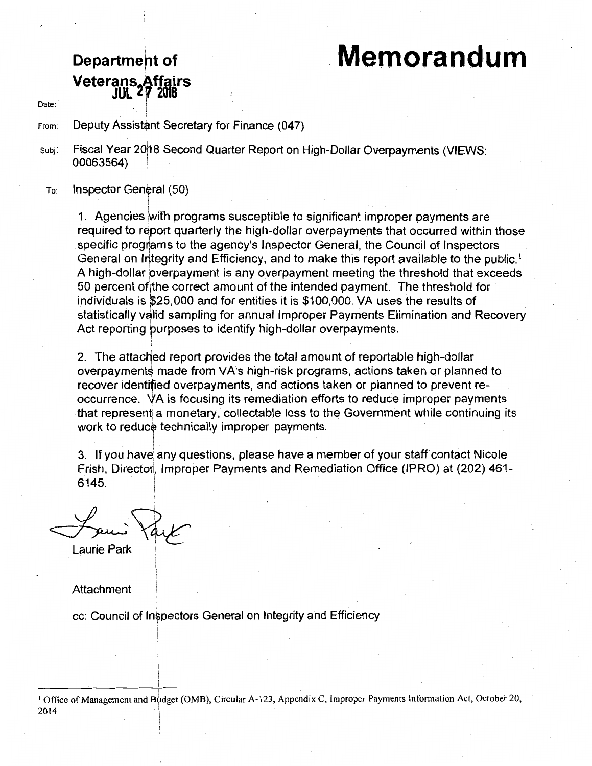# . **Memorandum**

## **Department of Veterans.Affairs JUL l. fl 2018**

i .- !

:

Date:

From: Deputy Assistant Secretary for Finance (047)

Subj: Fiscal Year 20118 Second Quarter Report on High-Dollar Overpayments (VIEWS: 00063564) !

To: Inspector General (50)

> 1. Agencies with programs susceptible to significant improper payments are required to report quarterly the high-dollar overpayments that occurred within those<br>enocitie programs to the agency's Inspector General, the Council of Inspectors specific programs to the agency's Inspector General, the Council of Inspectors General on Integrity and Efficiency, and to make this report available to the public.<sup>1</sup> A high-dollar overpayment is any overpayment meeting the threshold that exceeds 50 percent of the correct amount of the intended payment. The threshold for individuals is \$25,000 and for entities it is \$100,000. VA uses the results of statistically valid sampling for annual Improper Payments Elimination and Recovery Act reporting purposes to identify high-dollar overpayments.

2. The attached report provides the total amount of reportable high-dollar overpayments made from VA's high-risk programs, actions taken or planned to recover identified overpayments, and actions taken or planned to prevent reoccurrence. VA is focusing its remediation efforts to reduce improper payments that represent a monetary, collectable loss to the Government while continuing its work to reduce technically improper payments.

! 3. If you havei any questions, please have a member of your staff contact Nicole Frish, Director, Improper Payments and Remediation Office (IPRO) at (202) 461-6145.

Laurie Park

#### Attachment

' l cc: Council of Inspectors General on Integrity and Efficiency

<sup>1</sup> Office of Management and Budget (OMB), Circular A-123, Appendix C, Improper Payments Information Act, October 20, 2014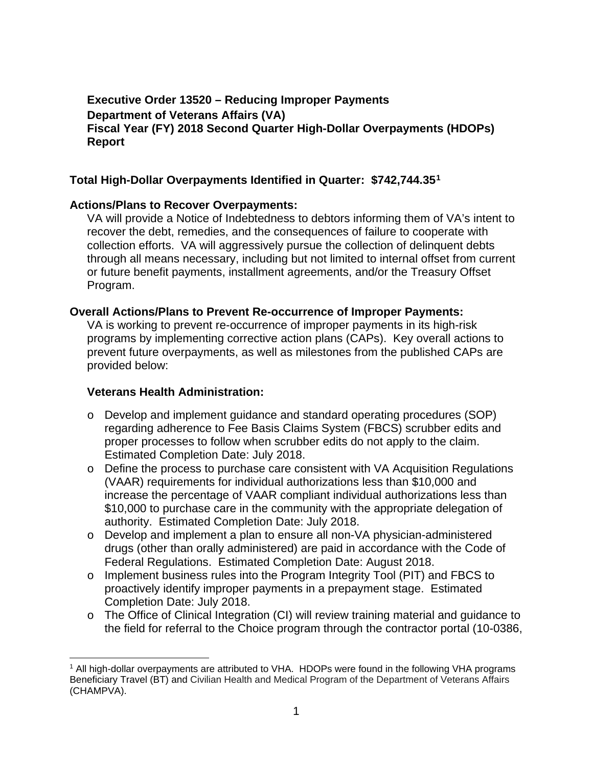#### **Executive Order 13520 – Reducing Improper Payments Department of Veterans Affairs (VA) Fiscal Year (FY) 2018 Second Quarter High-Dollar Overpayments (HDOPs) Report**

#### **Total High-Dollar Overpayments Identified in Quarter: \$742,744.35[1](#page-1-0)**

#### **Actions/Plans to Recover Overpayments:**

VA will provide a Notice of Indebtedness to debtors informing them of VA's intent to recover the debt, remedies, and the consequences of failure to cooperate with collection efforts. VA will aggressively pursue the collection of delinquent debts through all means necessary, including but not limited to internal offset from current or future benefit payments, installment agreements, and/or the Treasury Offset Program.

#### **Overall Actions/Plans to Prevent Re-occurrence of Improper Payments:**

VA is working to prevent re-occurrence of improper payments in its high-risk programs by implementing corrective action plans (CAPs). Key overall actions to prevent future overpayments, as well as milestones from the published CAPs are provided below:

#### **Veterans Health Administration:**

- o Develop and implement guidance and standard operating procedures (SOP) regarding adherence to Fee Basis Claims System (FBCS) scrubber edits and proper processes to follow when scrubber edits do not apply to the claim. Estimated Completion Date: July 2018.
- o Define the process to purchase care consistent with VA Acquisition Regulations (VAAR) requirements for individual authorizations less than \$10,000 and increase the percentage of VAAR compliant individual authorizations less than \$10,000 to purchase care in the community with the appropriate delegation of authority. Estimated Completion Date: July 2018.
- o Develop and implement a plan to ensure all non-VA physician-administered drugs (other than orally administered) are paid in accordance with the Code of Federal Regulations. Estimated Completion Date: August 2018.
- o Implement business rules into the Program Integrity Tool (PIT) and FBCS to proactively identify improper payments in a prepayment stage. Estimated Completion Date: July 2018.
- o The Office of Clinical Integration (CI) will review training material and guidance to the field for referral to the Choice program through the contractor portal (10-0386,

<span id="page-1-0"></span> <sup>1</sup> All high-dollar overpayments are attributed to VHA. HDOPs were found in the following VHA programs Beneficiary Travel (BT) and Civilian Health and Medical Program of the Department of Veterans Affairs (CHAMPVA).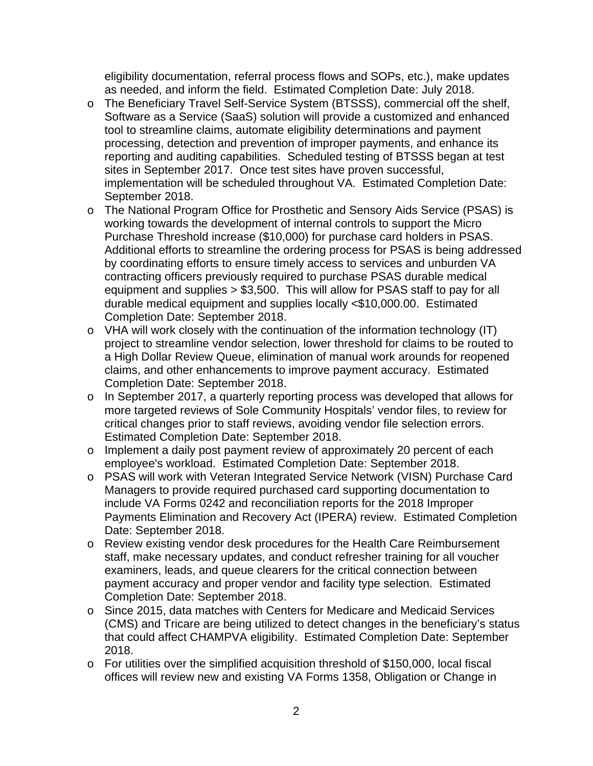eligibility documentation, referral process flows and SOPs, etc.), make updates as needed, and inform the field. Estimated Completion Date: July 2018.

- o The Beneficiary Travel Self-Service System (BTSSS), commercial off the shelf, Software as a Service (SaaS) solution will provide a customized and enhanced tool to streamline claims, automate eligibility determinations and payment processing, detection and prevention of improper payments, and enhance its reporting and auditing capabilities. Scheduled testing of BTSSS began at test sites in September 2017. Once test sites have proven successful, implementation will be scheduled throughout VA. Estimated Completion Date: September 2018.
- o The National Program Office for Prosthetic and Sensory Aids Service (PSAS) is working towards the development of internal controls to support the Micro Purchase Threshold increase (\$10,000) for purchase card holders in PSAS. Additional efforts to streamline the ordering process for PSAS is being addressed by coordinating efforts to ensure timely access to services and unburden VA contracting officers previously required to purchase PSAS durable medical equipment and supplies > \$3,500. This will allow for PSAS staff to pay for all durable medical equipment and supplies locally <\$10,000.00. Estimated Completion Date: September 2018.
- o VHA will work closely with the continuation of the information technology (IT) project to streamline vendor selection, lower threshold for claims to be routed to a High Dollar Review Queue, elimination of manual work arounds for reopened claims, and other enhancements to improve payment accuracy. Estimated Completion Date: September 2018.
- o In September 2017, a quarterly reporting process was developed that allows for more targeted reviews of Sole Community Hospitals' vendor files, to review for critical changes prior to staff reviews, avoiding vendor file selection errors. Estimated Completion Date: September 2018.
- o Implement a daily post payment review of approximately 20 percent of each employee's workload. Estimated Completion Date: September 2018.
- o PSAS will work with Veteran Integrated Service Network (VISN) Purchase Card Managers to provide required purchased card supporting documentation to include VA Forms 0242 and reconciliation reports for the 2018 Improper Payments Elimination and Recovery Act (IPERA) review. Estimated Completion Date: September 2018.
- o Review existing vendor desk procedures for the Health Care Reimbursement staff, make necessary updates, and conduct refresher training for all voucher examiners, leads, and queue clearers for the critical connection between payment accuracy and proper vendor and facility type selection. Estimated Completion Date: September 2018.
- o Since 2015, data matches with Centers for Medicare and Medicaid Services (CMS) and Tricare are being utilized to detect changes in the beneficiary's status that could affect CHAMPVA eligibility. Estimated Completion Date: September 2018.
- o For utilities over the simplified acquisition threshold of \$150,000, local fiscal offices will review new and existing VA Forms 1358, Obligation or Change in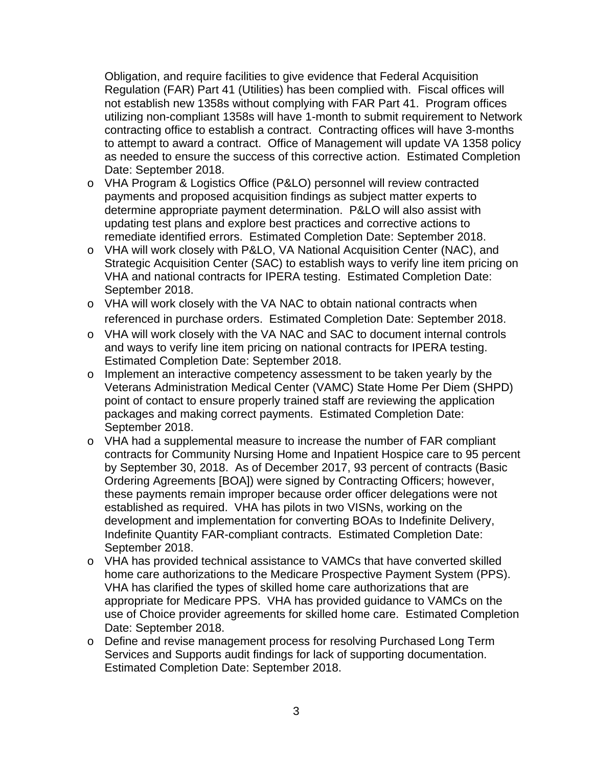Obligation, and require facilities to give evidence that Federal Acquisition Regulation (FAR) Part 41 (Utilities) has been complied with. Fiscal offices will not establish new 1358s without complying with FAR Part 41. Program offices utilizing non-compliant 1358s will have 1-month to submit requirement to Network contracting office to establish a contract. Contracting offices will have 3-months to attempt to award a contract. Office of Management will update VA 1358 policy as needed to ensure the success of this corrective action. Estimated Completion Date: September 2018.

- o VHA Program & Logistics Office (P&LO) personnel will review contracted payments and proposed acquisition findings as subject matter experts to determine appropriate payment determination. P&LO will also assist with updating test plans and explore best practices and corrective actions to remediate identified errors. Estimated Completion Date: September 2018.
- o VHA will work closely with P&LO, VA National Acquisition Center (NAC), and Strategic Acquisition Center (SAC) to establish ways to verify line item pricing on VHA and national contracts for IPERA testing. Estimated Completion Date: September 2018.
- o VHA will work closely with the VA NAC to obtain national contracts when referenced in purchase orders. Estimated Completion Date: September 2018.
- o VHA will work closely with the VA NAC and SAC to document internal controls and ways to verify line item pricing on national contracts for IPERA testing. Estimated Completion Date: September 2018.
- o Implement an interactive competency assessment to be taken yearly by the Veterans Administration Medical Center (VAMC) State Home Per Diem (SHPD) point of contact to ensure properly trained staff are reviewing the application packages and making correct payments. Estimated Completion Date: September 2018.
- o VHA had a supplemental measure to increase the number of FAR compliant contracts for Community Nursing Home and Inpatient Hospice care to 95 percent by September 30, 2018. As of December 2017, 93 percent of contracts (Basic Ordering Agreements [BOA]) were signed by Contracting Officers; however, these payments remain improper because order officer delegations were not established as required. VHA has pilots in two VISNs, working on the development and implementation for converting BOAs to Indefinite Delivery, Indefinite Quantity FAR-compliant contracts. Estimated Completion Date: September 2018.
- o VHA has provided technical assistance to VAMCs that have converted skilled home care authorizations to the Medicare Prospective Payment System (PPS). VHA has clarified the types of skilled home care authorizations that are appropriate for Medicare PPS. VHA has provided guidance to VAMCs on the use of Choice provider agreements for skilled home care. Estimated Completion Date: September 2018.
- o Define and revise management process for resolving Purchased Long Term Services and Supports audit findings for lack of supporting documentation. Estimated Completion Date: September 2018.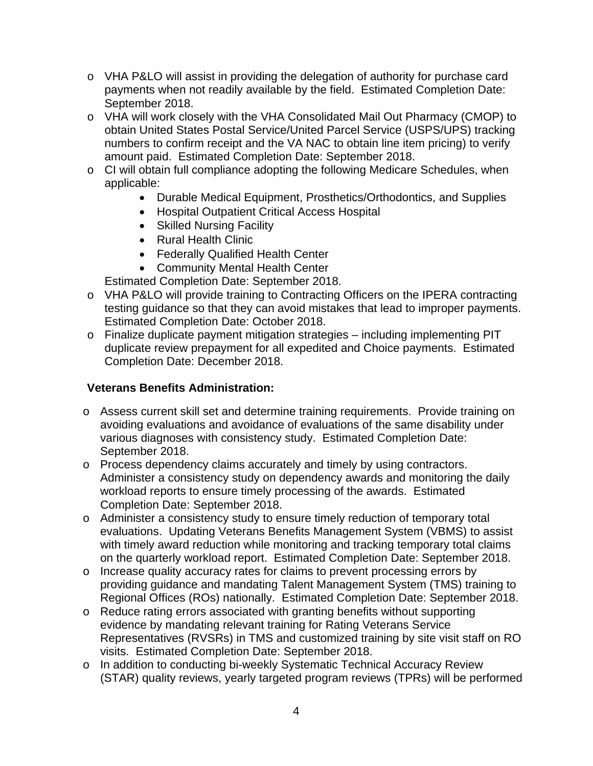- o VHA P&LO will assist in providing the delegation of authority for purchase card payments when not readily available by the field. Estimated Completion Date: September 2018.
- o VHA will work closely with the VHA Consolidated Mail Out Pharmacy (CMOP) to obtain United States Postal Service/United Parcel Service (USPS/UPS) tracking numbers to confirm receipt and the VA NAC to obtain line item pricing) to verify amount paid. Estimated Completion Date: September 2018.
- o CI will obtain full compliance adopting the following Medicare Schedules, when applicable:
	- Durable Medical Equipment, Prosthetics/Orthodontics, and Supplies
	- Hospital Outpatient Critical Access Hospital
	- Skilled Nursing Facility
	- Rural Health Clinic
	- Federally Qualified Health Center
	- Community Mental Health Center

Estimated Completion Date: September 2018.

- o VHA P&LO will provide training to Contracting Officers on the IPERA contracting testing guidance so that they can avoid mistakes that lead to improper payments. Estimated Completion Date: October 2018.
- o Finalize duplicate payment mitigation strategies including implementing PIT duplicate review prepayment for all expedited and Choice payments. Estimated Completion Date: December 2018.

### **Veterans Benefits Administration:**

- o Assess current skill set and determine training requirements. Provide training on avoiding evaluations and avoidance of evaluations of the same disability under various diagnoses with consistency study. Estimated Completion Date: September 2018.
- o Process dependency claims accurately and timely by using contractors. Administer a consistency study on dependency awards and monitoring the daily workload reports to ensure timely processing of the awards. Estimated Completion Date: September 2018.
- o Administer a consistency study to ensure timely reduction of temporary total evaluations. Updating Veterans Benefits Management System (VBMS) to assist with timely award reduction while monitoring and tracking temporary total claims on the quarterly workload report. Estimated Completion Date: September 2018.
- o Increase quality accuracy rates for claims to prevent processing errors by providing guidance and mandating Talent Management System (TMS) training to Regional Offices (ROs) nationally. Estimated Completion Date: September 2018.
- o Reduce rating errors associated with granting benefits without supporting evidence by mandating relevant training for Rating Veterans Service Representatives (RVSRs) in TMS and customized training by site visit staff on RO visits. Estimated Completion Date: September 2018.
- o In addition to conducting bi-weekly Systematic Technical Accuracy Review (STAR) quality reviews, yearly targeted program reviews (TPRs) will be performed